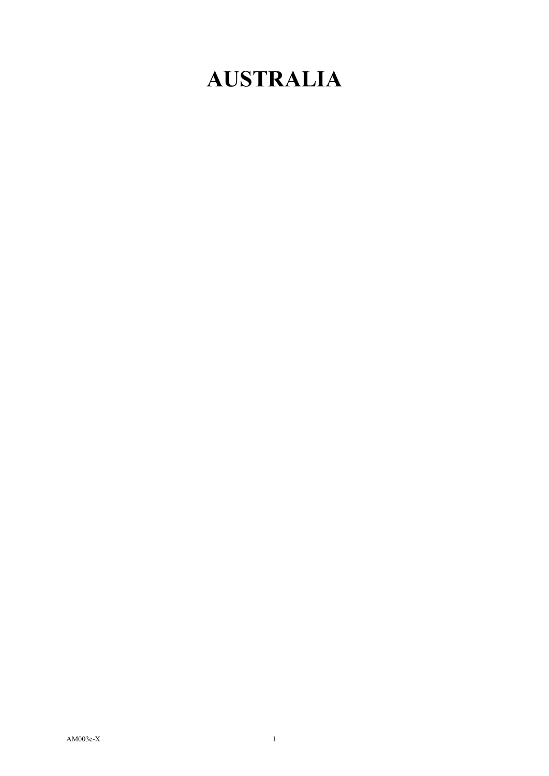## **AUSTRALIA**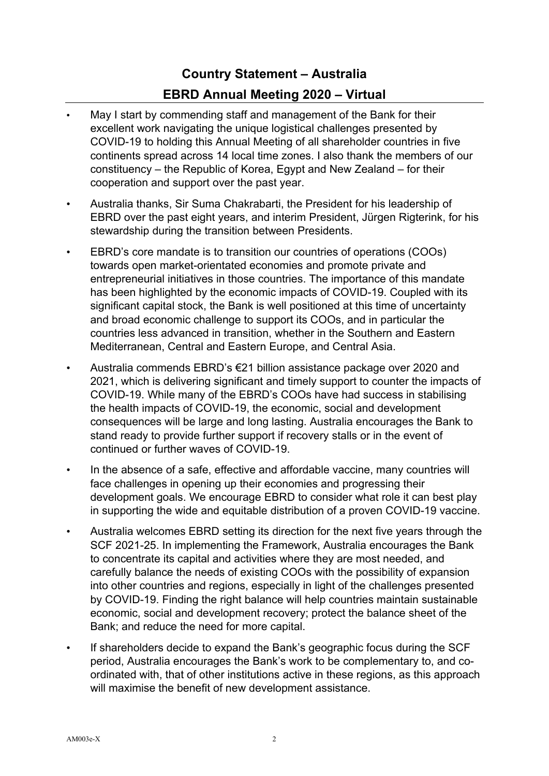## **Country Statement – Australia**

## **EBRD Annual Meeting 2020 – Virtual**

- May I start by commending staff and management of the Bank for their excellent work navigating the unique logistical challenges presented by COVID-19 to holding this Annual Meeting of all shareholder countries in five continents spread across 14 local time zones. I also thank the members of our constituency – the Republic of Korea, Egypt and New Zealand – for their cooperation and support over the past year.
- Australia thanks, Sir Suma Chakrabarti, the President for his leadership of EBRD over the past eight years, and interim President, Jürgen Rigterink, for his stewardship during the transition between Presidents.
- EBRD's core mandate is to transition our countries of operations (COOs) towards open market-orientated economies and promote private and entrepreneurial initiatives in those countries. The importance of this mandate has been highlighted by the economic impacts of COVID-19. Coupled with its significant capital stock, the Bank is well positioned at this time of uncertainty and broad economic challenge to support its COOs, and in particular the countries less advanced in transition, whether in the Southern and Eastern Mediterranean, Central and Eastern Europe, and Central Asia.
- Australia commends EBRD's €21 billion assistance package over 2020 and 2021, which is delivering significant and timely support to counter the impacts of COVID-19. While many of the EBRD's COOs have had success in stabilising the health impacts of COVID-19, the economic, social and development consequences will be large and long lasting. Australia encourages the Bank to stand ready to provide further support if recovery stalls or in the event of continued or further waves of COVID-19.
- In the absence of a safe, effective and affordable vaccine, many countries will face challenges in opening up their economies and progressing their development goals. We encourage EBRD to consider what role it can best play in supporting the wide and equitable distribution of a proven COVID-19 vaccine.
- Australia welcomes EBRD setting its direction for the next five years through the SCF 2021-25. In implementing the Framework, Australia encourages the Bank to concentrate its capital and activities where they are most needed, and carefully balance the needs of existing COOs with the possibility of expansion into other countries and regions, especially in light of the challenges presented by COVID-19. Finding the right balance will help countries maintain sustainable economic, social and development recovery; protect the balance sheet of the Bank; and reduce the need for more capital.
- If shareholders decide to expand the Bank's geographic focus during the SCF period, Australia encourages the Bank's work to be complementary to, and coordinated with, that of other institutions active in these regions, as this approach will maximise the benefit of new development assistance.